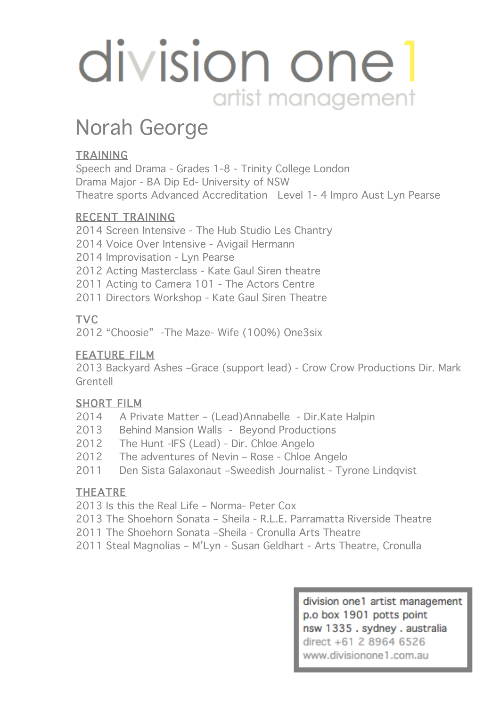# division one 1 artist management

### Norah George

#### **TRAINING**

Speech and Drama - Grades 1-8 - Trinity College London Drama Major - BA Dip Ed- University of NSW Theatre sports Advanced Accreditation Level 1- 4 Impro Aust Lyn Pearse

#### RECENT TRAINING

2014 Screen Intensive - The Hub Studio Les Chantry 2014 Voice Over Intensive - Avigail Hermann 2014 Improvisation - Lyn Pearse 2012 Acting Masterclass - Kate Gaul Siren theatre 2011 Acting to Camera 101 - The Actors Centre 2011 Directors Workshop - Kate Gaul Siren Theatre

#### TVC

2012 "Choosie" -The Maze- Wife (100%) One3six

#### FEATURE FILM

2013 Backyard Ashes –Grace (support lead) - Crow Crow Productions Dir. Mark Grentell

#### SHORT FILM

- 2014 A Private Matter (Lead)Annabelle Dir.Kate Halpin
- 2013 Behind Mansion Walls Beyond Productions
- 2012 The Hunt -IFS (Lead) Dir. Chloe Angelo
- 2012 The adventures of Nevin Rose Chloe Angelo
- 2011 Den Sista Galaxonaut –Sweedish Journalist Tyrone Lindqvist

#### THEATRE

2013 Is this the Real Life – Norma- Peter Cox

- 2013 The Shoehorn Sonata Sheila R.L.E. Parramatta Riverside Theatre
- 2011 The Shoehorn Sonata –Sheila Cronulla Arts Theatre
- 2011 Steal Magnolias M'Lyn Susan Geldhart Arts Theatre, Cronulla

division one1 artist management p.o box 1901 potts point nsw 1335 . sydney . australia direct +61 2 8964 6526 www.divisionone1.com.au